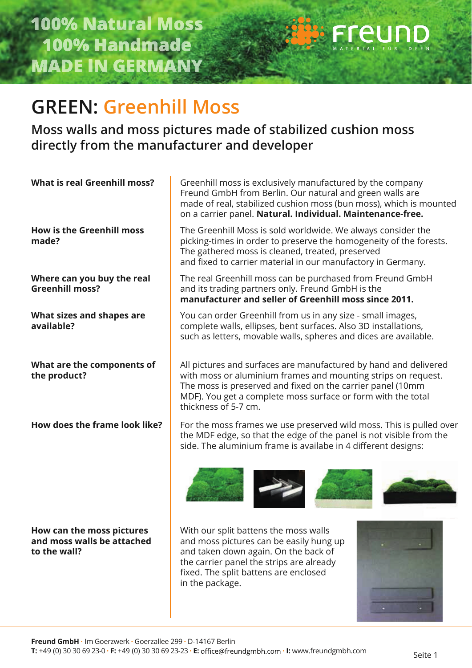**How can the moss pictures and moss walls be attached** 

**to the wall?**



## **GREEN: Greenhill Moss**

**Moss walls and moss pictures made of stabilized cushion moss directly from the manufacturer and developer** 

**What is real Greenhill moss? How is the Greenhill moss made? Where can you buy the real Greenhill moss?** The real Greenhill moss can be purchased from Freund GmbH and its trading partners only. Freund GmbH is the **manufacturer and seller of Greenhill moss since 2011. What sizes and shapes are available?**  You can order Greenhill from us in any size - small images, complete walls, ellipses, bent surfaces. Also 3D installations, such as letters, movable walls, spheres and dices are available. **What are the components of the product?** Greenhill moss is exclusively manufactured by the company Freund GmbH from Berlin. Our natural and green walls are made of real, stabilized cushion moss (bun moss), which is mounted on a carrier panel. **Natural. Individual. Maintenance-free.** The Greenhill Moss is sold worldwide. We always consider the picking-times in order to preserve the homogeneity of the forests. The gathered moss is cleaned, treated, preserved and fixed to carrier material in our manufactory in Germany. All pictures and surfaces are manufactured by hand and delivered with moss or aluminium frames and mounting strips on request. The moss is preserved and fixed on the carrier panel (10mm MDF). You get a complete moss surface or form with the total thickness of 5-7 cm. **How does the frame look like?** For the moss frames we use preserved wild moss. This is pulled over the MDF edge, so that the edge of the panel is not visible from the side. The aluminium frame is availabe in 4 different designs:

> With our split battens the moss walls and moss pictures can be easily hung up and taken down again. On the back of the carrier panel the strips are already fixed. The split battens are enclosed in the package.